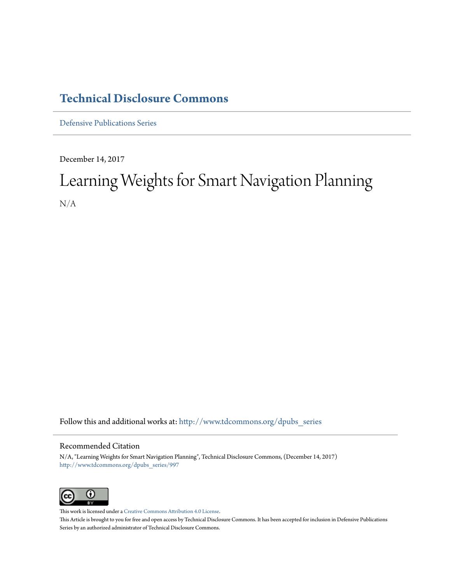### **[Technical Disclosure Commons](http://www.tdcommons.org?utm_source=www.tdcommons.org%2Fdpubs_series%2F997&utm_medium=PDF&utm_campaign=PDFCoverPages)**

[Defensive Publications Series](http://www.tdcommons.org/dpubs_series?utm_source=www.tdcommons.org%2Fdpubs_series%2F997&utm_medium=PDF&utm_campaign=PDFCoverPages)

December 14, 2017

## Learning Weights for Smart Navigation Planning N/A

Follow this and additional works at: [http://www.tdcommons.org/dpubs\\_series](http://www.tdcommons.org/dpubs_series?utm_source=www.tdcommons.org%2Fdpubs_series%2F997&utm_medium=PDF&utm_campaign=PDFCoverPages)

#### Recommended Citation

N/A, "Learning Weights for Smart Navigation Planning", Technical Disclosure Commons, (December 14, 2017) [http://www.tdcommons.org/dpubs\\_series/997](http://www.tdcommons.org/dpubs_series/997?utm_source=www.tdcommons.org%2Fdpubs_series%2F997&utm_medium=PDF&utm_campaign=PDFCoverPages)



This work is licensed under a [Creative Commons Attribution 4.0 License.](http://creativecommons.org/licenses/by/4.0/deed.en_US) This Article is brought to you for free and open access by Technical Disclosure Commons. It has been accepted for inclusion in Defensive Publications Series by an authorized administrator of Technical Disclosure Commons.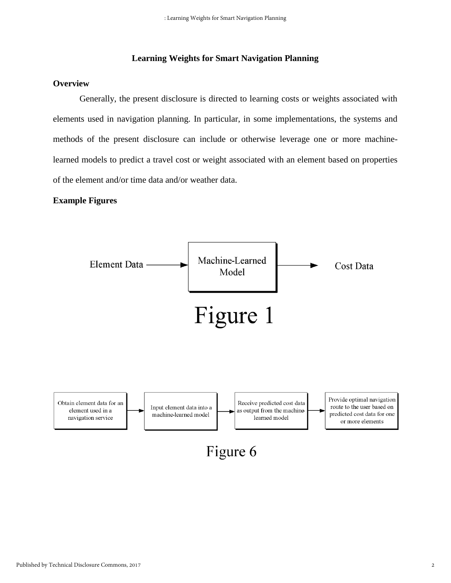#### **Learning Weights for Smart Navigation Planning**

#### **Overview**

Generally, the present disclosure is directed to learning costs or weights associated with elements used in navigation planning. In particular, in some implementations, the systems and methods of the present disclosure can include or otherwise leverage one or more machinelearned models to predict a travel cost or weight associated with an element based on properties of the element and/or time data and/or weather data.

#### **Example Figures**

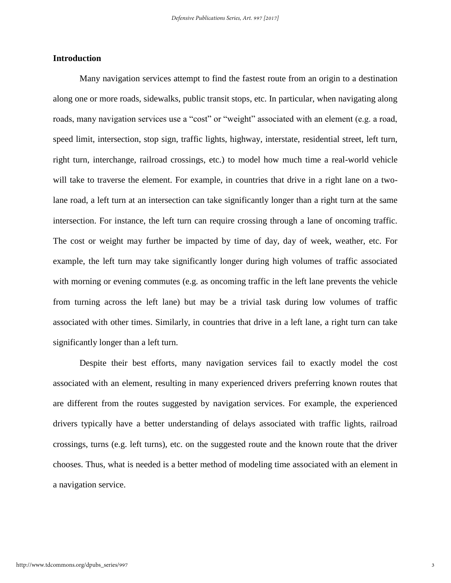#### **Introduction**

Many navigation services attempt to find the fastest route from an origin to a destination along one or more roads, sidewalks, public transit stops, etc. In particular, when navigating along roads, many navigation services use a "cost" or "weight" associated with an element (e.g. a road, speed limit, intersection, stop sign, traffic lights, highway, interstate, residential street, left turn, right turn, interchange, railroad crossings, etc.) to model how much time a real-world vehicle will take to traverse the element. For example, in countries that drive in a right lane on a twolane road, a left turn at an intersection can take significantly longer than a right turn at the same intersection. For instance, the left turn can require crossing through a lane of oncoming traffic. The cost or weight may further be impacted by time of day, day of week, weather, etc. For example, the left turn may take significantly longer during high volumes of traffic associated with morning or evening commutes (e.g. as oncoming traffic in the left lane prevents the vehicle from turning across the left lane) but may be a trivial task during low volumes of traffic associated with other times. Similarly, in countries that drive in a left lane, a right turn can take significantly longer than a left turn.

Despite their best efforts, many navigation services fail to exactly model the cost associated with an element, resulting in many experienced drivers preferring known routes that are different from the routes suggested by navigation services. For example, the experienced drivers typically have a better understanding of delays associated with traffic lights, railroad crossings, turns (e.g. left turns), etc. on the suggested route and the known route that the driver chooses. Thus, what is needed is a better method of modeling time associated with an element in a navigation service.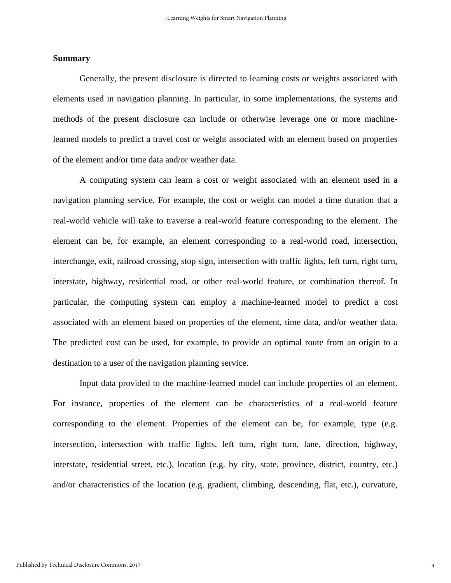#### **Summary**

Generally, the present disclosure is directed to learning costs or weights associated with elements used in navigation planning. In particular, in some implementations, the systems and methods of the present disclosure can include or otherwise leverage one or more machinelearned models to predict a travel cost or weight associated with an element based on properties of the element and/or time data and/or weather data.

A computing system can learn a cost or weight associated with an element used in a navigation planning service. For example, the cost or weight can model a time duration that a real-world vehicle will take to traverse a real-world feature corresponding to the element. The element can be, for example, an element corresponding to a real-world road, intersection, interchange, exit, railroad crossing, stop sign, intersection with traffic lights, left turn, right turn, interstate, highway, residential road, or other real-world feature, or combination thereof. In particular, the computing system can employ a machine-learned model to predict a cost associated with an element based on properties of the element, time data, and/or weather data. The predicted cost can be used, for example, to provide an optimal route from an origin to a destination to a user of the navigation planning service.

Input data provided to the machine-learned model can include properties of an element. For instance, properties of the element can be characteristics of a real-world feature corresponding to the element. Properties of the element can be, for example, type (e.g. intersection, intersection with traffic lights, left turn, right turn, lane, direction, highway, interstate, residential street, etc.), location (e.g. by city, state, province, district, country, etc.) and/or characteristics of the location (e.g. gradient, climbing, descending, flat, etc.), curvature,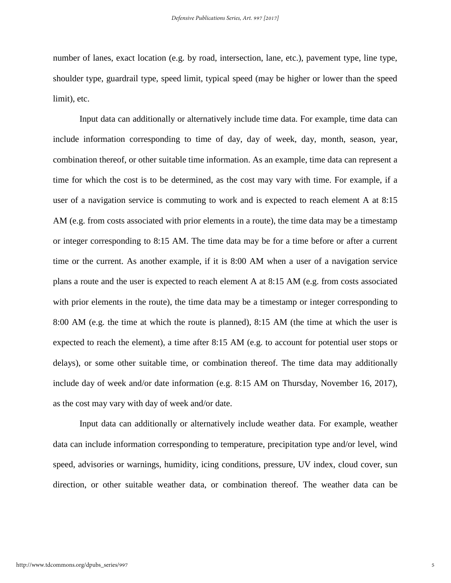number of lanes, exact location (e.g. by road, intersection, lane, etc.), pavement type, line type, shoulder type, guardrail type, speed limit, typical speed (may be higher or lower than the speed limit), etc.

Input data can additionally or alternatively include time data. For example, time data can include information corresponding to time of day, day of week, day, month, season, year, combination thereof, or other suitable time information. As an example, time data can represent a time for which the cost is to be determined, as the cost may vary with time. For example, if a user of a navigation service is commuting to work and is expected to reach element A at 8:15 AM (e.g. from costs associated with prior elements in a route), the time data may be a timestamp or integer corresponding to 8:15 AM. The time data may be for a time before or after a current time or the current. As another example, if it is 8:00 AM when a user of a navigation service plans a route and the user is expected to reach element A at 8:15 AM (e.g. from costs associated with prior elements in the route), the time data may be a timestamp or integer corresponding to 8:00 AM (e.g. the time at which the route is planned), 8:15 AM (the time at which the user is expected to reach the element), a time after 8:15 AM (e.g. to account for potential user stops or delays), or some other suitable time, or combination thereof. The time data may additionally include day of week and/or date information (e.g. 8:15 AM on Thursday, November 16, 2017), as the cost may vary with day of week and/or date.

Input data can additionally or alternatively include weather data. For example, weather data can include information corresponding to temperature, precipitation type and/or level, wind speed, advisories or warnings, humidity, icing conditions, pressure, UV index, cloud cover, sun direction, or other suitable weather data, or combination thereof. The weather data can be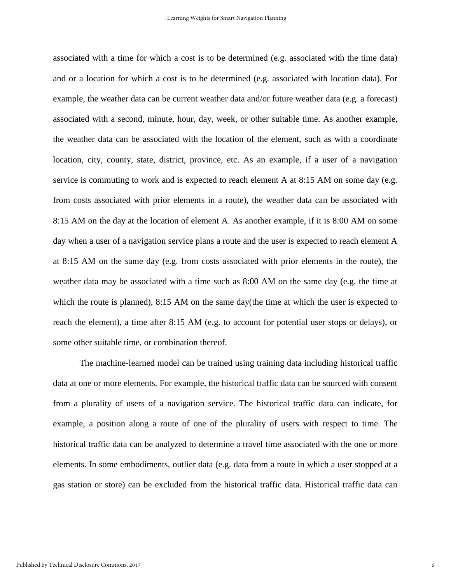associated with a time for which a cost is to be determined (e.g. associated with the time data) and or a location for which a cost is to be determined (e.g. associated with location data). For example, the weather data can be current weather data and/or future weather data (e.g. a forecast) associated with a second, minute, hour, day, week, or other suitable time. As another example, the weather data can be associated with the location of the element, such as with a coordinate location, city, county, state, district, province, etc. As an example, if a user of a navigation service is commuting to work and is expected to reach element A at 8:15 AM on some day (e.g. from costs associated with prior elements in a route), the weather data can be associated with 8:15 AM on the day at the location of element A. As another example, if it is 8:00 AM on some day when a user of a navigation service plans a route and the user is expected to reach element A at 8:15 AM on the same day (e.g. from costs associated with prior elements in the route), the weather data may be associated with a time such as 8:00 AM on the same day (e.g. the time at which the route is planned), 8:15 AM on the same day(the time at which the user is expected to reach the element), a time after 8:15 AM (e.g. to account for potential user stops or delays), or some other suitable time, or combination thereof.

The machine-learned model can be trained using training data including historical traffic data at one or more elements. For example, the historical traffic data can be sourced with consent from a plurality of users of a navigation service. The historical traffic data can indicate, for example, a position along a route of one of the plurality of users with respect to time. The historical traffic data can be analyzed to determine a travel time associated with the one or more elements. In some embodiments, outlier data (e.g. data from a route in which a user stopped at a gas station or store) can be excluded from the historical traffic data. Historical traffic data can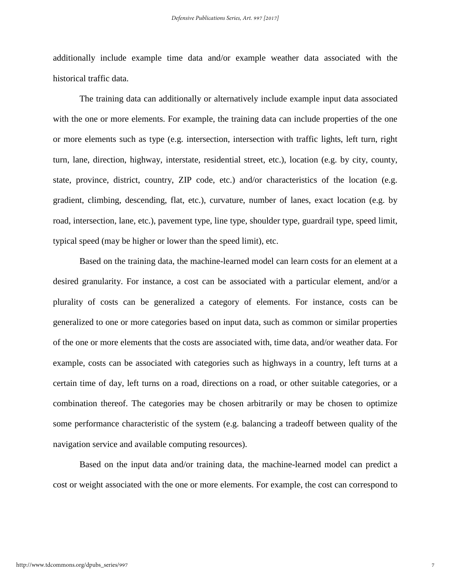additionally include example time data and/or example weather data associated with the historical traffic data.

The training data can additionally or alternatively include example input data associated with the one or more elements. For example, the training data can include properties of the one or more elements such as type (e.g. intersection, intersection with traffic lights, left turn, right turn, lane, direction, highway, interstate, residential street, etc.), location (e.g. by city, county, state, province, district, country, ZIP code, etc.) and/or characteristics of the location (e.g. gradient, climbing, descending, flat, etc.), curvature, number of lanes, exact location (e.g. by road, intersection, lane, etc.), pavement type, line type, shoulder type, guardrail type, speed limit, typical speed (may be higher or lower than the speed limit), etc.

Based on the training data, the machine-learned model can learn costs for an element at a desired granularity. For instance, a cost can be associated with a particular element, and/or a plurality of costs can be generalized a category of elements. For instance, costs can be generalized to one or more categories based on input data, such as common or similar properties of the one or more elements that the costs are associated with, time data, and/or weather data. For example, costs can be associated with categories such as highways in a country, left turns at a certain time of day, left turns on a road, directions on a road, or other suitable categories, or a combination thereof. The categories may be chosen arbitrarily or may be chosen to optimize some performance characteristic of the system (e.g. balancing a tradeoff between quality of the navigation service and available computing resources).

Based on the input data and/or training data, the machine-learned model can predict a cost or weight associated with the one or more elements. For example, the cost can correspond to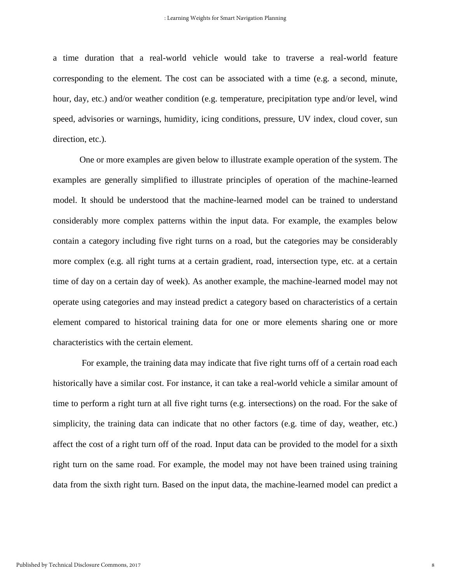a time duration that a real-world vehicle would take to traverse a real-world feature corresponding to the element. The cost can be associated with a time (e.g. a second, minute, hour, day, etc.) and/or weather condition (e.g. temperature, precipitation type and/or level, wind speed, advisories or warnings, humidity, icing conditions, pressure, UV index, cloud cover, sun direction, etc.).

One or more examples are given below to illustrate example operation of the system. The examples are generally simplified to illustrate principles of operation of the machine-learned model. It should be understood that the machine-learned model can be trained to understand considerably more complex patterns within the input data. For example, the examples below contain a category including five right turns on a road, but the categories may be considerably more complex (e.g. all right turns at a certain gradient, road, intersection type, etc. at a certain time of day on a certain day of week). As another example, the machine-learned model may not operate using categories and may instead predict a category based on characteristics of a certain element compared to historical training data for one or more elements sharing one or more characteristics with the certain element.

For example, the training data may indicate that five right turns off of a certain road each historically have a similar cost. For instance, it can take a real-world vehicle a similar amount of time to perform a right turn at all five right turns (e.g. intersections) on the road. For the sake of simplicity, the training data can indicate that no other factors (e.g. time of day, weather, etc.) affect the cost of a right turn off of the road. Input data can be provided to the model for a sixth right turn on the same road. For example, the model may not have been trained using training data from the sixth right turn. Based on the input data, the machine-learned model can predict a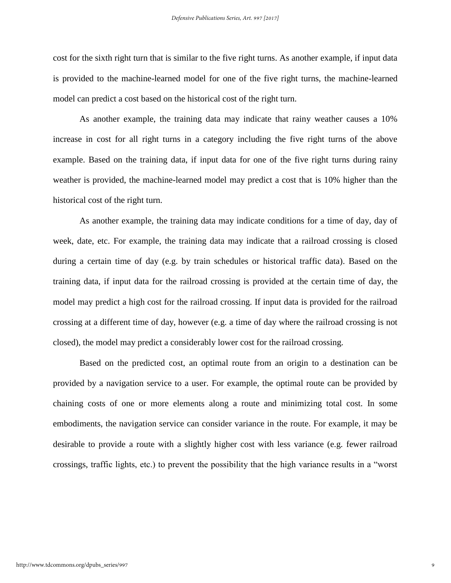cost for the sixth right turn that is similar to the five right turns. As another example, if input data is provided to the machine-learned model for one of the five right turns, the machine-learned model can predict a cost based on the historical cost of the right turn.

As another example, the training data may indicate that rainy weather causes a 10% increase in cost for all right turns in a category including the five right turns of the above example. Based on the training data, if input data for one of the five right turns during rainy weather is provided, the machine-learned model may predict a cost that is 10% higher than the historical cost of the right turn.

As another example, the training data may indicate conditions for a time of day, day of week, date, etc. For example, the training data may indicate that a railroad crossing is closed during a certain time of day (e.g. by train schedules or historical traffic data). Based on the training data, if input data for the railroad crossing is provided at the certain time of day, the model may predict a high cost for the railroad crossing. If input data is provided for the railroad crossing at a different time of day, however (e.g. a time of day where the railroad crossing is not closed), the model may predict a considerably lower cost for the railroad crossing.

Based on the predicted cost, an optimal route from an origin to a destination can be provided by a navigation service to a user. For example, the optimal route can be provided by chaining costs of one or more elements along a route and minimizing total cost. In some embodiments, the navigation service can consider variance in the route. For example, it may be desirable to provide a route with a slightly higher cost with less variance (e.g. fewer railroad crossings, traffic lights, etc.) to prevent the possibility that the high variance results in a "worst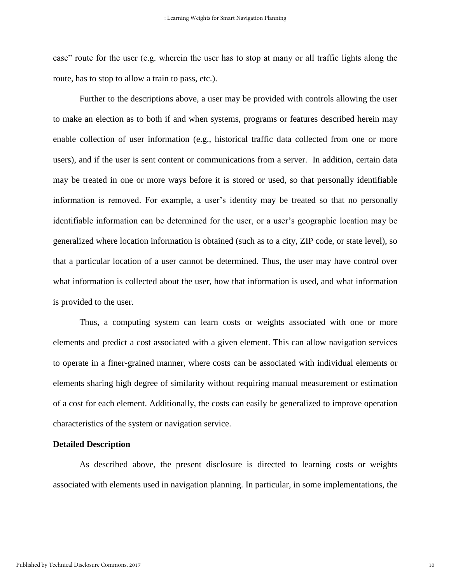case" route for the user (e.g. wherein the user has to stop at many or all traffic lights along the route, has to stop to allow a train to pass, etc.).

Further to the descriptions above, a user may be provided with controls allowing the user to make an election as to both if and when systems, programs or features described herein may enable collection of user information (e.g., historical traffic data collected from one or more users), and if the user is sent content or communications from a server. In addition, certain data may be treated in one or more ways before it is stored or used, so that personally identifiable information is removed. For example, a user's identity may be treated so that no personally identifiable information can be determined for the user, or a user's geographic location may be generalized where location information is obtained (such as to a city, ZIP code, or state level), so that a particular location of a user cannot be determined. Thus, the user may have control over what information is collected about the user, how that information is used, and what information is provided to the user.

Thus, a computing system can learn costs or weights associated with one or more elements and predict a cost associated with a given element. This can allow navigation services to operate in a finer-grained manner, where costs can be associated with individual elements or elements sharing high degree of similarity without requiring manual measurement or estimation of a cost for each element. Additionally, the costs can easily be generalized to improve operation characteristics of the system or navigation service.

#### **Detailed Description**

As described above, the present disclosure is directed to learning costs or weights associated with elements used in navigation planning. In particular, in some implementations, the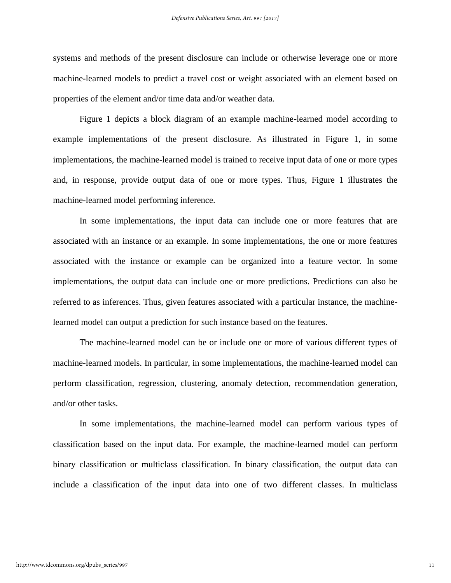systems and methods of the present disclosure can include or otherwise leverage one or more machine-learned models to predict a travel cost or weight associated with an element based on properties of the element and/or time data and/or weather data.

Figure 1 depicts a block diagram of an example machine-learned model according to example implementations of the present disclosure. As illustrated in Figure 1, in some implementations, the machine-learned model is trained to receive input data of one or more types and, in response, provide output data of one or more types. Thus, Figure 1 illustrates the machine-learned model performing inference.

In some implementations, the input data can include one or more features that are associated with an instance or an example. In some implementations, the one or more features associated with the instance or example can be organized into a feature vector. In some implementations, the output data can include one or more predictions. Predictions can also be referred to as inferences. Thus, given features associated with a particular instance, the machinelearned model can output a prediction for such instance based on the features.

The machine-learned model can be or include one or more of various different types of machine-learned models. In particular, in some implementations, the machine-learned model can perform classification, regression, clustering, anomaly detection, recommendation generation, and/or other tasks.

In some implementations, the machine-learned model can perform various types of classification based on the input data. For example, the machine-learned model can perform binary classification or multiclass classification. In binary classification, the output data can include a classification of the input data into one of two different classes. In multiclass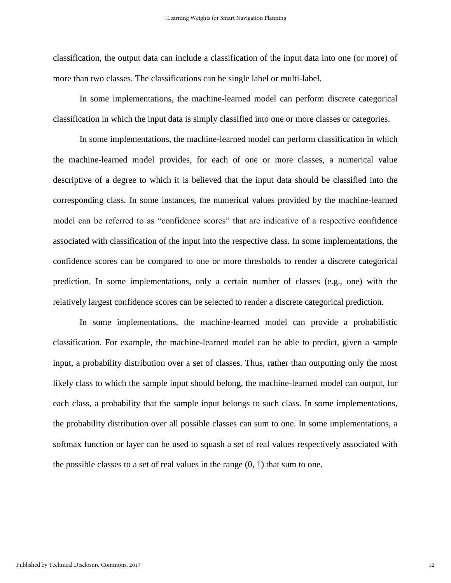classification, the output data can include a classification of the input data into one (or more) of more than two classes. The classifications can be single label or multi-label.

In some implementations, the machine-learned model can perform discrete categorical classification in which the input data is simply classified into one or more classes or categories.

In some implementations, the machine-learned model can perform classification in which the machine-learned model provides, for each of one or more classes, a numerical value descriptive of a degree to which it is believed that the input data should be classified into the corresponding class. In some instances, the numerical values provided by the machine-learned model can be referred to as "confidence scores" that are indicative of a respective confidence associated with classification of the input into the respective class. In some implementations, the confidence scores can be compared to one or more thresholds to render a discrete categorical prediction. In some implementations, only a certain number of classes (e.g., one) with the relatively largest confidence scores can be selected to render a discrete categorical prediction.

In some implementations, the machine-learned model can provide a probabilistic classification. For example, the machine-learned model can be able to predict, given a sample input, a probability distribution over a set of classes. Thus, rather than outputting only the most likely class to which the sample input should belong, the machine-learned model can output, for each class, a probability that the sample input belongs to such class. In some implementations, the probability distribution over all possible classes can sum to one. In some implementations, a softmax function or layer can be used to squash a set of real values respectively associated with the possible classes to a set of real values in the range  $(0, 1)$  that sum to one.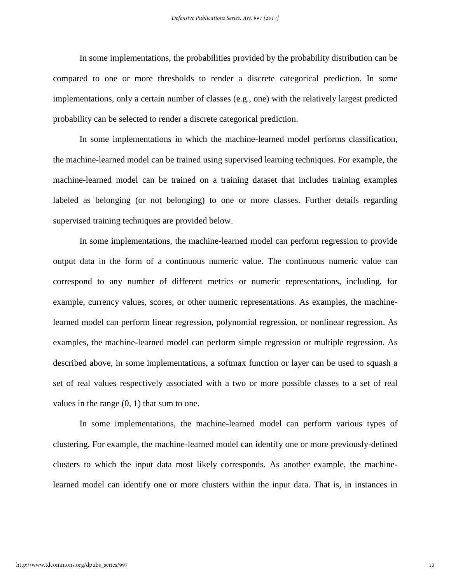In some implementations, the probabilities provided by the probability distribution can be compared to one or more thresholds to render a discrete categorical prediction. In some implementations, only a certain number of classes (e.g., one) with the relatively largest predicted probability can be selected to render a discrete categorical prediction.

In some implementations in which the machine-learned model performs classification, the machine-learned model can be trained using supervised learning techniques. For example, the machine-learned model can be trained on a training dataset that includes training examples labeled as belonging (or not belonging) to one or more classes. Further details regarding supervised training techniques are provided below.

In some implementations, the machine-learned model can perform regression to provide output data in the form of a continuous numeric value. The continuous numeric value can correspond to any number of different metrics or numeric representations, including, for example, currency values, scores, or other numeric representations. As examples, the machinelearned model can perform linear regression, polynomial regression, or nonlinear regression. As examples, the machine-learned model can perform simple regression or multiple regression. As described above, in some implementations, a softmax function or layer can be used to squash a set of real values respectively associated with a two or more possible classes to a set of real values in the range (0, 1) that sum to one.

In some implementations, the machine-learned model can perform various types of clustering. For example, the machine-learned model can identify one or more previously-defined clusters to which the input data most likely corresponds. As another example, the machinelearned model can identify one or more clusters within the input data. That is, in instances in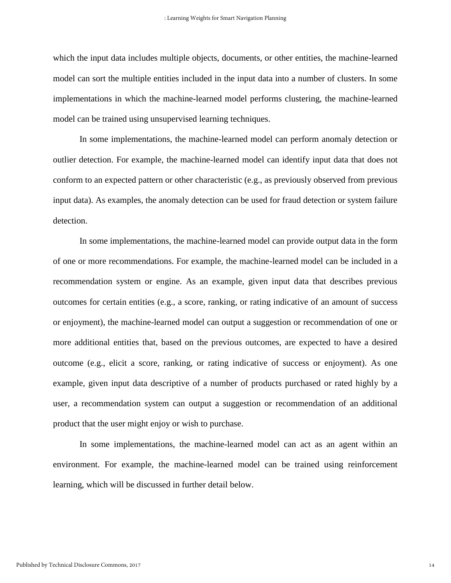which the input data includes multiple objects, documents, or other entities, the machine-learned model can sort the multiple entities included in the input data into a number of clusters. In some implementations in which the machine-learned model performs clustering, the machine-learned model can be trained using unsupervised learning techniques.

In some implementations, the machine-learned model can perform anomaly detection or outlier detection. For example, the machine-learned model can identify input data that does not conform to an expected pattern or other characteristic (e.g., as previously observed from previous input data). As examples, the anomaly detection can be used for fraud detection or system failure detection.

In some implementations, the machine-learned model can provide output data in the form of one or more recommendations. For example, the machine-learned model can be included in a recommendation system or engine. As an example, given input data that describes previous outcomes for certain entities (e.g., a score, ranking, or rating indicative of an amount of success or enjoyment), the machine-learned model can output a suggestion or recommendation of one or more additional entities that, based on the previous outcomes, are expected to have a desired outcome (e.g., elicit a score, ranking, or rating indicative of success or enjoyment). As one example, given input data descriptive of a number of products purchased or rated highly by a user, a recommendation system can output a suggestion or recommendation of an additional product that the user might enjoy or wish to purchase.

In some implementations, the machine-learned model can act as an agent within an environment. For example, the machine-learned model can be trained using reinforcement learning, which will be discussed in further detail below.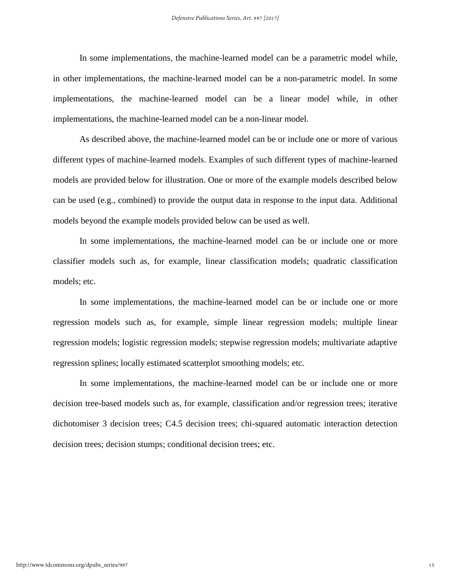In some implementations, the machine-learned model can be a parametric model while, in other implementations, the machine-learned model can be a non-parametric model. In some implementations, the machine-learned model can be a linear model while, in other implementations, the machine-learned model can be a non-linear model.

As described above, the machine-learned model can be or include one or more of various different types of machine-learned models. Examples of such different types of machine-learned models are provided below for illustration. One or more of the example models described below can be used (e.g., combined) to provide the output data in response to the input data. Additional models beyond the example models provided below can be used as well.

In some implementations, the machine-learned model can be or include one or more classifier models such as, for example, linear classification models; quadratic classification models; etc.

In some implementations, the machine-learned model can be or include one or more regression models such as, for example, simple linear regression models; multiple linear regression models; logistic regression models; stepwise regression models; multivariate adaptive regression splines; locally estimated scatterplot smoothing models; etc.

In some implementations, the machine-learned model can be or include one or more decision tree-based models such as, for example, classification and/or regression trees; iterative dichotomiser 3 decision trees; C4.5 decision trees; chi-squared automatic interaction detection decision trees; decision stumps; conditional decision trees; etc.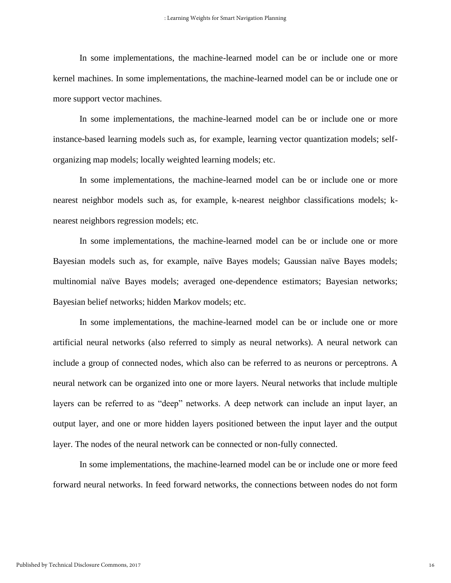In some implementations, the machine-learned model can be or include one or more kernel machines. In some implementations, the machine-learned model can be or include one or more support vector machines.

In some implementations, the machine-learned model can be or include one or more instance-based learning models such as, for example, learning vector quantization models; selforganizing map models; locally weighted learning models; etc.

In some implementations, the machine-learned model can be or include one or more nearest neighbor models such as, for example, k-nearest neighbor classifications models; knearest neighbors regression models; etc.

In some implementations, the machine-learned model can be or include one or more Bayesian models such as, for example, naïve Bayes models; Gaussian naïve Bayes models; multinomial naïve Bayes models; averaged one-dependence estimators; Bayesian networks; Bayesian belief networks; hidden Markov models; etc.

In some implementations, the machine-learned model can be or include one or more artificial neural networks (also referred to simply as neural networks). A neural network can include a group of connected nodes, which also can be referred to as neurons or perceptrons. A neural network can be organized into one or more layers. Neural networks that include multiple layers can be referred to as "deep" networks. A deep network can include an input layer, an output layer, and one or more hidden layers positioned between the input layer and the output layer. The nodes of the neural network can be connected or non-fully connected.

In some implementations, the machine-learned model can be or include one or more feed forward neural networks. In feed forward networks, the connections between nodes do not form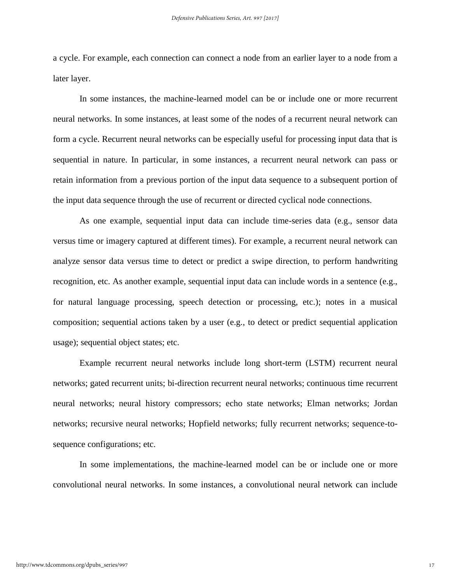a cycle. For example, each connection can connect a node from an earlier layer to a node from a later layer.

In some instances, the machine-learned model can be or include one or more recurrent neural networks. In some instances, at least some of the nodes of a recurrent neural network can form a cycle. Recurrent neural networks can be especially useful for processing input data that is sequential in nature. In particular, in some instances, a recurrent neural network can pass or retain information from a previous portion of the input data sequence to a subsequent portion of the input data sequence through the use of recurrent or directed cyclical node connections.

As one example, sequential input data can include time-series data (e.g., sensor data versus time or imagery captured at different times). For example, a recurrent neural network can analyze sensor data versus time to detect or predict a swipe direction, to perform handwriting recognition, etc. As another example, sequential input data can include words in a sentence (e.g., for natural language processing, speech detection or processing, etc.); notes in a musical composition; sequential actions taken by a user (e.g., to detect or predict sequential application usage); sequential object states; etc.

Example recurrent neural networks include long short-term (LSTM) recurrent neural networks; gated recurrent units; bi-direction recurrent neural networks; continuous time recurrent neural networks; neural history compressors; echo state networks; Elman networks; Jordan networks; recursive neural networks; Hopfield networks; fully recurrent networks; sequence-tosequence configurations; etc.

In some implementations, the machine-learned model can be or include one or more convolutional neural networks. In some instances, a convolutional neural network can include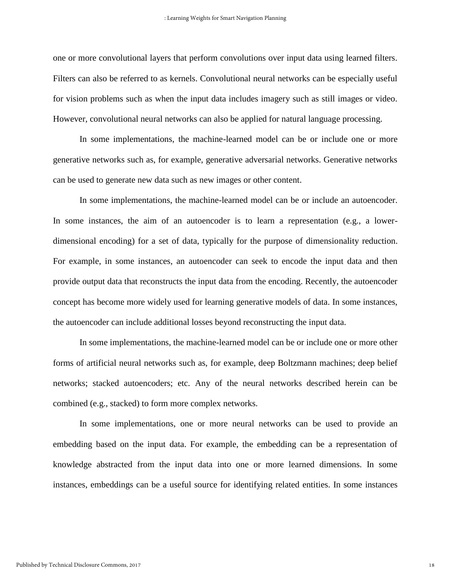one or more convolutional layers that perform convolutions over input data using learned filters. Filters can also be referred to as kernels. Convolutional neural networks can be especially useful for vision problems such as when the input data includes imagery such as still images or video. However, convolutional neural networks can also be applied for natural language processing.

In some implementations, the machine-learned model can be or include one or more generative networks such as, for example, generative adversarial networks. Generative networks can be used to generate new data such as new images or other content.

In some implementations, the machine-learned model can be or include an autoencoder. In some instances, the aim of an autoencoder is to learn a representation (e.g., a lowerdimensional encoding) for a set of data, typically for the purpose of dimensionality reduction. For example, in some instances, an autoencoder can seek to encode the input data and then provide output data that reconstructs the input data from the encoding. Recently, the autoencoder concept has become more widely used for learning generative models of data. In some instances, the autoencoder can include additional losses beyond reconstructing the input data.

In some implementations, the machine-learned model can be or include one or more other forms of artificial neural networks such as, for example, deep Boltzmann machines; deep belief networks; stacked autoencoders; etc. Any of the neural networks described herein can be combined (e.g., stacked) to form more complex networks.

In some implementations, one or more neural networks can be used to provide an embedding based on the input data. For example, the embedding can be a representation of knowledge abstracted from the input data into one or more learned dimensions. In some instances, embeddings can be a useful source for identifying related entities. In some instances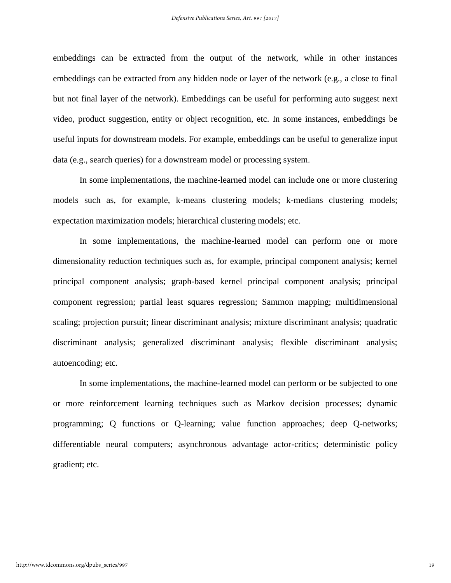embeddings can be extracted from the output of the network, while in other instances embeddings can be extracted from any hidden node or layer of the network (e.g., a close to final but not final layer of the network). Embeddings can be useful for performing auto suggest next video, product suggestion, entity or object recognition, etc. In some instances, embeddings be useful inputs for downstream models. For example, embeddings can be useful to generalize input data (e.g., search queries) for a downstream model or processing system.

In some implementations, the machine-learned model can include one or more clustering models such as, for example, k-means clustering models; k-medians clustering models; expectation maximization models; hierarchical clustering models; etc.

In some implementations, the machine-learned model can perform one or more dimensionality reduction techniques such as, for example, principal component analysis; kernel principal component analysis; graph-based kernel principal component analysis; principal component regression; partial least squares regression; Sammon mapping; multidimensional scaling; projection pursuit; linear discriminant analysis; mixture discriminant analysis; quadratic discriminant analysis; generalized discriminant analysis; flexible discriminant analysis; autoencoding; etc.

In some implementations, the machine-learned model can perform or be subjected to one or more reinforcement learning techniques such as Markov decision processes; dynamic programming; Q functions or Q-learning; value function approaches; deep Q-networks; differentiable neural computers; asynchronous advantage actor-critics; deterministic policy gradient; etc.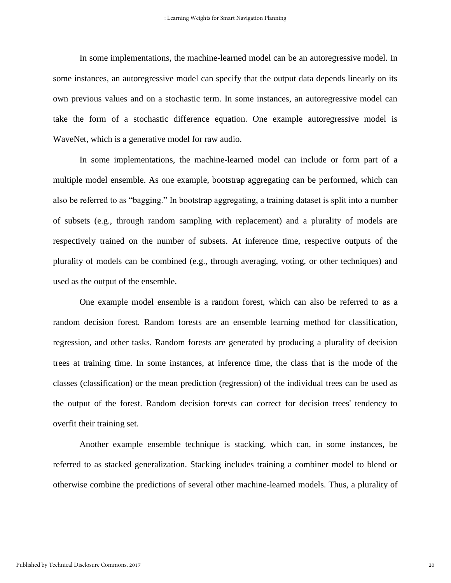In some implementations, the machine-learned model can be an autoregressive model. In some instances, an autoregressive model can specify that the output data depends linearly on its own previous values and on a stochastic term. In some instances, an autoregressive model can take the form of a stochastic difference equation. One example autoregressive model is WaveNet, which is a generative model for raw audio.

In some implementations, the machine-learned model can include or form part of a multiple model ensemble. As one example, bootstrap aggregating can be performed, which can also be referred to as "bagging." In bootstrap aggregating, a training dataset is split into a number of subsets (e.g., through random sampling with replacement) and a plurality of models are respectively trained on the number of subsets. At inference time, respective outputs of the plurality of models can be combined (e.g., through averaging, voting, or other techniques) and used as the output of the ensemble.

One example model ensemble is a random forest, which can also be referred to as a random decision forest. Random forests are an ensemble learning method for classification, regression, and other tasks. Random forests are generated by producing a plurality of decision trees at training time. In some instances, at inference time, the class that is the mode of the classes (classification) or the mean prediction (regression) of the individual trees can be used as the output of the forest. Random decision forests can correct for decision trees' tendency to overfit their training set.

Another example ensemble technique is stacking, which can, in some instances, be referred to as stacked generalization. Stacking includes training a combiner model to blend or otherwise combine the predictions of several other machine-learned models. Thus, a plurality of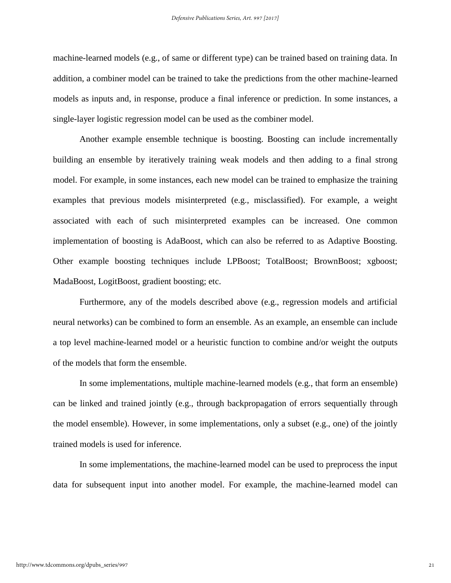machine-learned models (e.g., of same or different type) can be trained based on training data. In addition, a combiner model can be trained to take the predictions from the other machine-learned models as inputs and, in response, produce a final inference or prediction. In some instances, a single-layer logistic regression model can be used as the combiner model.

Another example ensemble technique is boosting. Boosting can include incrementally building an ensemble by iteratively training weak models and then adding to a final strong model. For example, in some instances, each new model can be trained to emphasize the training examples that previous models misinterpreted (e.g., misclassified). For example, a weight associated with each of such misinterpreted examples can be increased. One common implementation of boosting is AdaBoost, which can also be referred to as Adaptive Boosting. Other example boosting techniques include LPBoost; TotalBoost; BrownBoost; xgboost; MadaBoost, LogitBoost, gradient boosting; etc.

Furthermore, any of the models described above (e.g., regression models and artificial neural networks) can be combined to form an ensemble. As an example, an ensemble can include a top level machine-learned model or a heuristic function to combine and/or weight the outputs of the models that form the ensemble.

In some implementations, multiple machine-learned models (e.g., that form an ensemble) can be linked and trained jointly (e.g., through backpropagation of errors sequentially through the model ensemble). However, in some implementations, only a subset (e.g., one) of the jointly trained models is used for inference.

In some implementations, the machine-learned model can be used to preprocess the input data for subsequent input into another model. For example, the machine-learned model can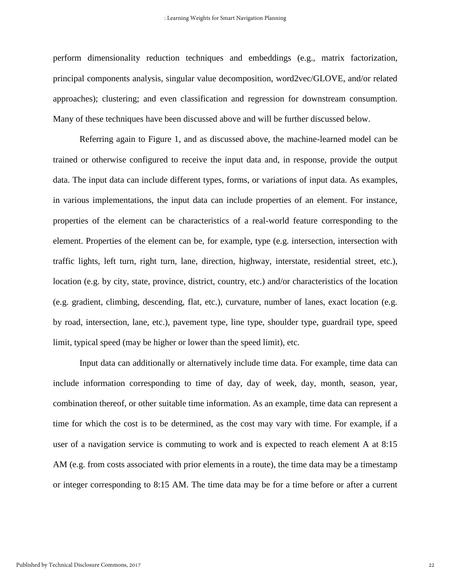perform dimensionality reduction techniques and embeddings (e.g., matrix factorization, principal components analysis, singular value decomposition, word2vec/GLOVE, and/or related approaches); clustering; and even classification and regression for downstream consumption. Many of these techniques have been discussed above and will be further discussed below.

Referring again to Figure 1, and as discussed above, the machine-learned model can be trained or otherwise configured to receive the input data and, in response, provide the output data. The input data can include different types, forms, or variations of input data. As examples, in various implementations, the input data can include properties of an element. For instance, properties of the element can be characteristics of a real-world feature corresponding to the element. Properties of the element can be, for example, type (e.g. intersection, intersection with traffic lights, left turn, right turn, lane, direction, highway, interstate, residential street, etc.), location (e.g. by city, state, province, district, country, etc.) and/or characteristics of the location (e.g. gradient, climbing, descending, flat, etc.), curvature, number of lanes, exact location (e.g. by road, intersection, lane, etc.), pavement type, line type, shoulder type, guardrail type, speed limit, typical speed (may be higher or lower than the speed limit), etc.

Input data can additionally or alternatively include time data. For example, time data can include information corresponding to time of day, day of week, day, month, season, year, combination thereof, or other suitable time information. As an example, time data can represent a time for which the cost is to be determined, as the cost may vary with time. For example, if a user of a navigation service is commuting to work and is expected to reach element A at 8:15 AM (e.g. from costs associated with prior elements in a route), the time data may be a timestamp or integer corresponding to 8:15 AM. The time data may be for a time before or after a current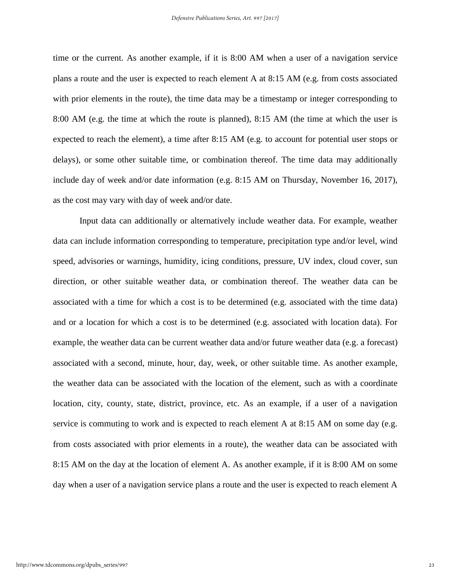time or the current. As another example, if it is 8:00 AM when a user of a navigation service plans a route and the user is expected to reach element A at 8:15 AM (e.g. from costs associated with prior elements in the route), the time data may be a timestamp or integer corresponding to 8:00 AM (e.g. the time at which the route is planned), 8:15 AM (the time at which the user is expected to reach the element), a time after 8:15 AM (e.g. to account for potential user stops or delays), or some other suitable time, or combination thereof. The time data may additionally include day of week and/or date information (e.g. 8:15 AM on Thursday, November 16, 2017), as the cost may vary with day of week and/or date.

Input data can additionally or alternatively include weather data. For example, weather data can include information corresponding to temperature, precipitation type and/or level, wind speed, advisories or warnings, humidity, icing conditions, pressure, UV index, cloud cover, sun direction, or other suitable weather data, or combination thereof. The weather data can be associated with a time for which a cost is to be determined (e.g. associated with the time data) and or a location for which a cost is to be determined (e.g. associated with location data). For example, the weather data can be current weather data and/or future weather data (e.g. a forecast) associated with a second, minute, hour, day, week, or other suitable time. As another example, the weather data can be associated with the location of the element, such as with a coordinate location, city, county, state, district, province, etc. As an example, if a user of a navigation service is commuting to work and is expected to reach element A at 8:15 AM on some day (e.g. from costs associated with prior elements in a route), the weather data can be associated with 8:15 AM on the day at the location of element A. As another example, if it is 8:00 AM on some day when a user of a navigation service plans a route and the user is expected to reach element A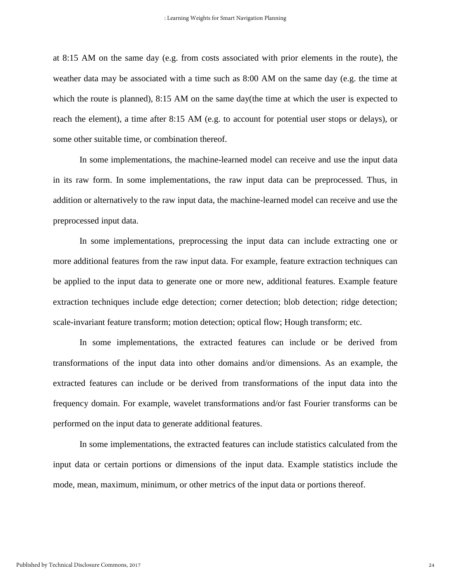at 8:15 AM on the same day (e.g. from costs associated with prior elements in the route), the weather data may be associated with a time such as 8:00 AM on the same day (e.g. the time at which the route is planned), 8:15 AM on the same day(the time at which the user is expected to reach the element), a time after 8:15 AM (e.g. to account for potential user stops or delays), or some other suitable time, or combination thereof.

In some implementations, the machine-learned model can receive and use the input data in its raw form. In some implementations, the raw input data can be preprocessed. Thus, in addition or alternatively to the raw input data, the machine-learned model can receive and use the preprocessed input data.

In some implementations, preprocessing the input data can include extracting one or more additional features from the raw input data. For example, feature extraction techniques can be applied to the input data to generate one or more new, additional features. Example feature extraction techniques include edge detection; corner detection; blob detection; ridge detection; scale-invariant feature transform; motion detection; optical flow; Hough transform; etc.

In some implementations, the extracted features can include or be derived from transformations of the input data into other domains and/or dimensions. As an example, the extracted features can include or be derived from transformations of the input data into the frequency domain. For example, wavelet transformations and/or fast Fourier transforms can be performed on the input data to generate additional features.

In some implementations, the extracted features can include statistics calculated from the input data or certain portions or dimensions of the input data. Example statistics include the mode, mean, maximum, minimum, or other metrics of the input data or portions thereof.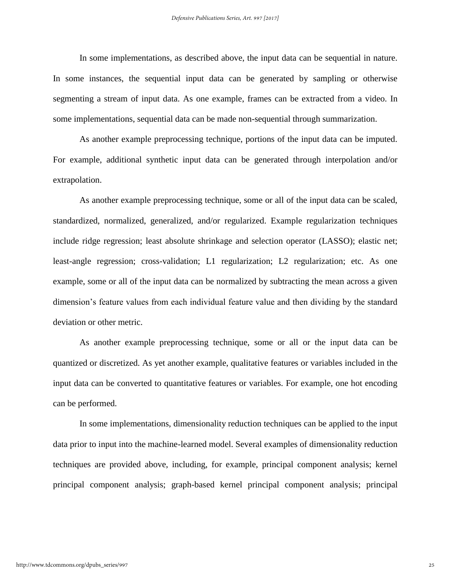In some implementations, as described above, the input data can be sequential in nature. In some instances, the sequential input data can be generated by sampling or otherwise segmenting a stream of input data. As one example, frames can be extracted from a video. In some implementations, sequential data can be made non-sequential through summarization.

As another example preprocessing technique, portions of the input data can be imputed. For example, additional synthetic input data can be generated through interpolation and/or extrapolation.

As another example preprocessing technique, some or all of the input data can be scaled, standardized, normalized, generalized, and/or regularized. Example regularization techniques include ridge regression; least absolute shrinkage and selection operator (LASSO); elastic net; least-angle regression; cross-validation; L1 regularization; L2 regularization; etc. As one example, some or all of the input data can be normalized by subtracting the mean across a given dimension's feature values from each individual feature value and then dividing by the standard deviation or other metric.

As another example preprocessing technique, some or all or the input data can be quantized or discretized. As yet another example, qualitative features or variables included in the input data can be converted to quantitative features or variables. For example, one hot encoding can be performed.

In some implementations, dimensionality reduction techniques can be applied to the input data prior to input into the machine-learned model. Several examples of dimensionality reduction techniques are provided above, including, for example, principal component analysis; kernel principal component analysis; graph-based kernel principal component analysis; principal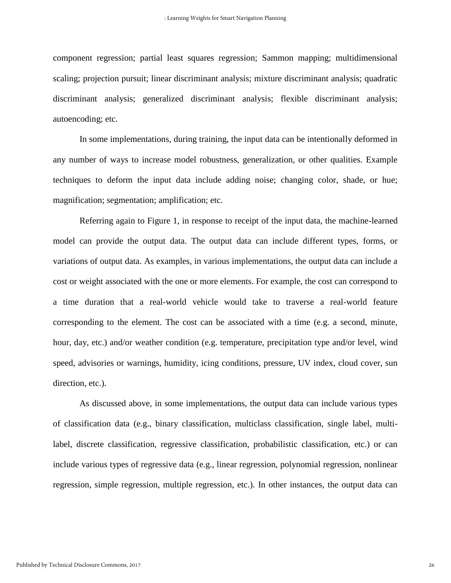component regression; partial least squares regression; Sammon mapping; multidimensional scaling; projection pursuit; linear discriminant analysis; mixture discriminant analysis; quadratic discriminant analysis; generalized discriminant analysis; flexible discriminant analysis; autoencoding; etc.

In some implementations, during training, the input data can be intentionally deformed in any number of ways to increase model robustness, generalization, or other qualities. Example techniques to deform the input data include adding noise; changing color, shade, or hue; magnification; segmentation; amplification; etc.

Referring again to Figure 1, in response to receipt of the input data, the machine-learned model can provide the output data. The output data can include different types, forms, or variations of output data. As examples, in various implementations, the output data can include a cost or weight associated with the one or more elements. For example, the cost can correspond to a time duration that a real-world vehicle would take to traverse a real-world feature corresponding to the element. The cost can be associated with a time (e.g. a second, minute, hour, day, etc.) and/or weather condition (e.g. temperature, precipitation type and/or level, wind speed, advisories or warnings, humidity, icing conditions, pressure, UV index, cloud cover, sun direction, etc.).

As discussed above, in some implementations, the output data can include various types of classification data (e.g., binary classification, multiclass classification, single label, multilabel, discrete classification, regressive classification, probabilistic classification, etc.) or can include various types of regressive data (e.g., linear regression, polynomial regression, nonlinear regression, simple regression, multiple regression, etc.). In other instances, the output data can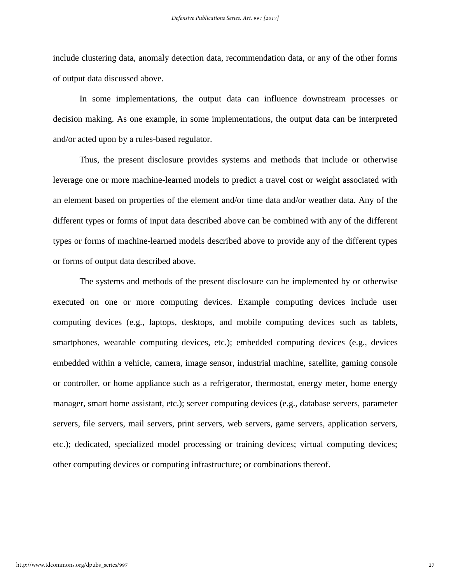include clustering data, anomaly detection data, recommendation data, or any of the other forms of output data discussed above.

In some implementations, the output data can influence downstream processes or decision making. As one example, in some implementations, the output data can be interpreted and/or acted upon by a rules-based regulator.

Thus, the present disclosure provides systems and methods that include or otherwise leverage one or more machine-learned models to predict a travel cost or weight associated with an element based on properties of the element and/or time data and/or weather data. Any of the different types or forms of input data described above can be combined with any of the different types or forms of machine-learned models described above to provide any of the different types or forms of output data described above.

The systems and methods of the present disclosure can be implemented by or otherwise executed on one or more computing devices. Example computing devices include user computing devices (e.g., laptops, desktops, and mobile computing devices such as tablets, smartphones, wearable computing devices, etc.); embedded computing devices (e.g., devices embedded within a vehicle, camera, image sensor, industrial machine, satellite, gaming console or controller, or home appliance such as a refrigerator, thermostat, energy meter, home energy manager, smart home assistant, etc.); server computing devices (e.g., database servers, parameter servers, file servers, mail servers, print servers, web servers, game servers, application servers, etc.); dedicated, specialized model processing or training devices; virtual computing devices; other computing devices or computing infrastructure; or combinations thereof.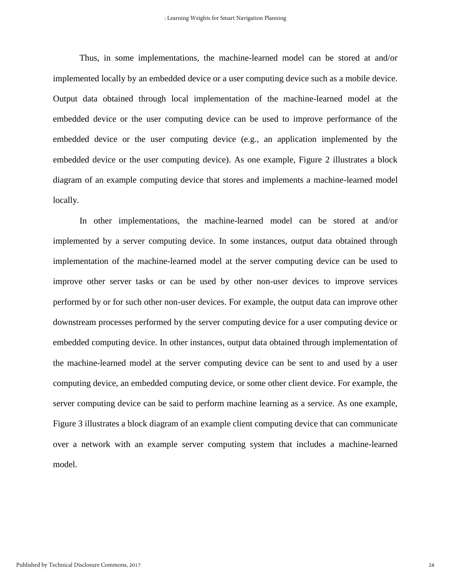Thus, in some implementations, the machine-learned model can be stored at and/or implemented locally by an embedded device or a user computing device such as a mobile device. Output data obtained through local implementation of the machine-learned model at the embedded device or the user computing device can be used to improve performance of the embedded device or the user computing device (e.g., an application implemented by the embedded device or the user computing device). As one example, Figure 2 illustrates a block diagram of an example computing device that stores and implements a machine-learned model locally.

In other implementations, the machine-learned model can be stored at and/or implemented by a server computing device. In some instances, output data obtained through implementation of the machine-learned model at the server computing device can be used to improve other server tasks or can be used by other non-user devices to improve services performed by or for such other non-user devices. For example, the output data can improve other downstream processes performed by the server computing device for a user computing device or embedded computing device. In other instances, output data obtained through implementation of the machine-learned model at the server computing device can be sent to and used by a user computing device, an embedded computing device, or some other client device. For example, the server computing device can be said to perform machine learning as a service. As one example, Figure 3 illustrates a block diagram of an example client computing device that can communicate over a network with an example server computing system that includes a machine-learned model.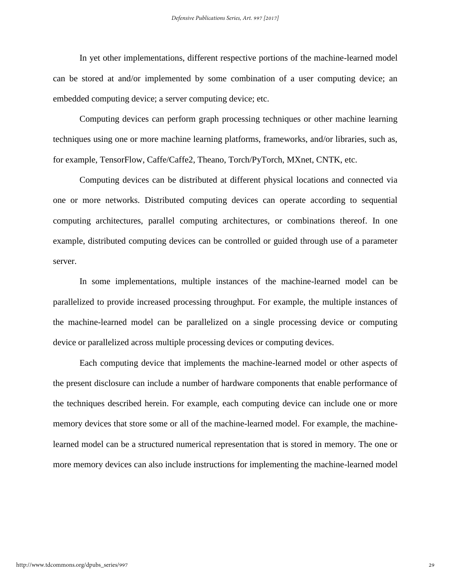In yet other implementations, different respective portions of the machine-learned model can be stored at and/or implemented by some combination of a user computing device; an embedded computing device; a server computing device; etc.

Computing devices can perform graph processing techniques or other machine learning techniques using one or more machine learning platforms, frameworks, and/or libraries, such as, for example, TensorFlow, Caffe/Caffe2, Theano, Torch/PyTorch, MXnet, CNTK, etc.

Computing devices can be distributed at different physical locations and connected via one or more networks. Distributed computing devices can operate according to sequential computing architectures, parallel computing architectures, or combinations thereof. In one example, distributed computing devices can be controlled or guided through use of a parameter server.

In some implementations, multiple instances of the machine-learned model can be parallelized to provide increased processing throughput. For example, the multiple instances of the machine-learned model can be parallelized on a single processing device or computing device or parallelized across multiple processing devices or computing devices.

Each computing device that implements the machine-learned model or other aspects of the present disclosure can include a number of hardware components that enable performance of the techniques described herein. For example, each computing device can include one or more memory devices that store some or all of the machine-learned model. For example, the machinelearned model can be a structured numerical representation that is stored in memory. The one or more memory devices can also include instructions for implementing the machine-learned model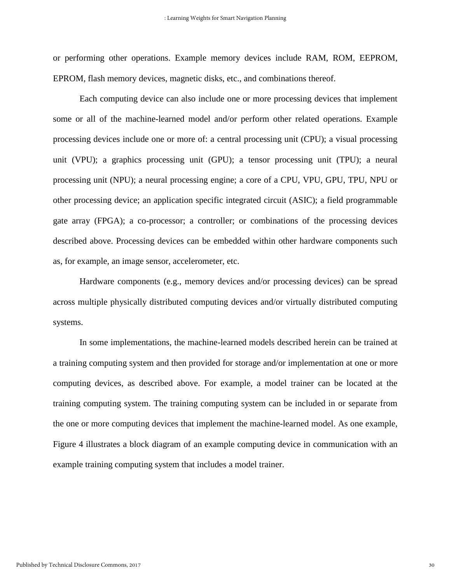or performing other operations. Example memory devices include RAM, ROM, EEPROM, EPROM, flash memory devices, magnetic disks, etc., and combinations thereof.

Each computing device can also include one or more processing devices that implement some or all of the machine-learned model and/or perform other related operations. Example processing devices include one or more of: a central processing unit (CPU); a visual processing unit (VPU); a graphics processing unit (GPU); a tensor processing unit (TPU); a neural processing unit (NPU); a neural processing engine; a core of a CPU, VPU, GPU, TPU, NPU or other processing device; an application specific integrated circuit (ASIC); a field programmable gate array (FPGA); a co-processor; a controller; or combinations of the processing devices described above. Processing devices can be embedded within other hardware components such as, for example, an image sensor, accelerometer, etc.

Hardware components (e.g., memory devices and/or processing devices) can be spread across multiple physically distributed computing devices and/or virtually distributed computing systems.

In some implementations, the machine-learned models described herein can be trained at a training computing system and then provided for storage and/or implementation at one or more computing devices, as described above. For example, a model trainer can be located at the training computing system. The training computing system can be included in or separate from the one or more computing devices that implement the machine-learned model. As one example, Figure 4 illustrates a block diagram of an example computing device in communication with an example training computing system that includes a model trainer.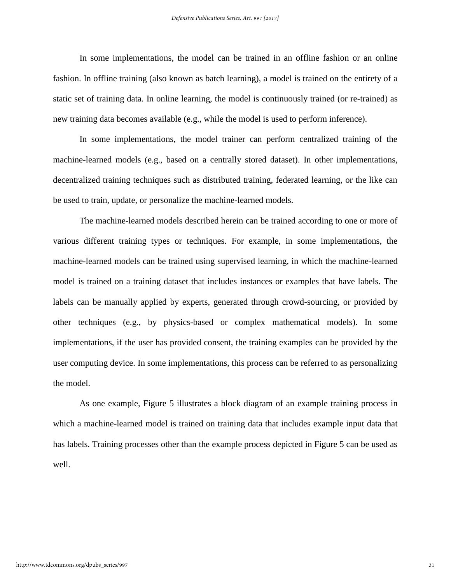In some implementations, the model can be trained in an offline fashion or an online fashion. In offline training (also known as batch learning), a model is trained on the entirety of a static set of training data. In online learning, the model is continuously trained (or re-trained) as new training data becomes available (e.g., while the model is used to perform inference).

In some implementations, the model trainer can perform centralized training of the machine-learned models (e.g., based on a centrally stored dataset). In other implementations, decentralized training techniques such as distributed training, federated learning, or the like can be used to train, update, or personalize the machine-learned models.

The machine-learned models described herein can be trained according to one or more of various different training types or techniques. For example, in some implementations, the machine-learned models can be trained using supervised learning, in which the machine-learned model is trained on a training dataset that includes instances or examples that have labels. The labels can be manually applied by experts, generated through crowd-sourcing, or provided by other techniques (e.g., by physics-based or complex mathematical models). In some implementations, if the user has provided consent, the training examples can be provided by the user computing device. In some implementations, this process can be referred to as personalizing the model.

As one example, Figure 5 illustrates a block diagram of an example training process in which a machine-learned model is trained on training data that includes example input data that has labels. Training processes other than the example process depicted in Figure 5 can be used as well.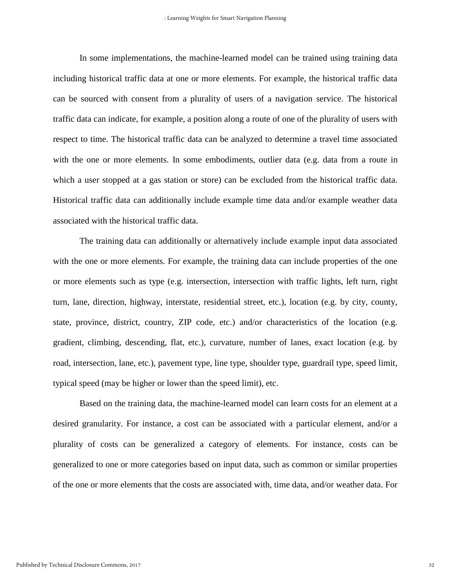In some implementations, the machine-learned model can be trained using training data including historical traffic data at one or more elements. For example, the historical traffic data can be sourced with consent from a plurality of users of a navigation service. The historical traffic data can indicate, for example, a position along a route of one of the plurality of users with respect to time. The historical traffic data can be analyzed to determine a travel time associated with the one or more elements. In some embodiments, outlier data (e.g. data from a route in which a user stopped at a gas station or store) can be excluded from the historical traffic data. Historical traffic data can additionally include example time data and/or example weather data associated with the historical traffic data.

The training data can additionally or alternatively include example input data associated with the one or more elements. For example, the training data can include properties of the one or more elements such as type (e.g. intersection, intersection with traffic lights, left turn, right turn, lane, direction, highway, interstate, residential street, etc.), location (e.g. by city, county, state, province, district, country, ZIP code, etc.) and/or characteristics of the location (e.g. gradient, climbing, descending, flat, etc.), curvature, number of lanes, exact location (e.g. by road, intersection, lane, etc.), pavement type, line type, shoulder type, guardrail type, speed limit, typical speed (may be higher or lower than the speed limit), etc.

Based on the training data, the machine-learned model can learn costs for an element at a desired granularity. For instance, a cost can be associated with a particular element, and/or a plurality of costs can be generalized a category of elements. For instance, costs can be generalized to one or more categories based on input data, such as common or similar properties of the one or more elements that the costs are associated with, time data, and/or weather data. For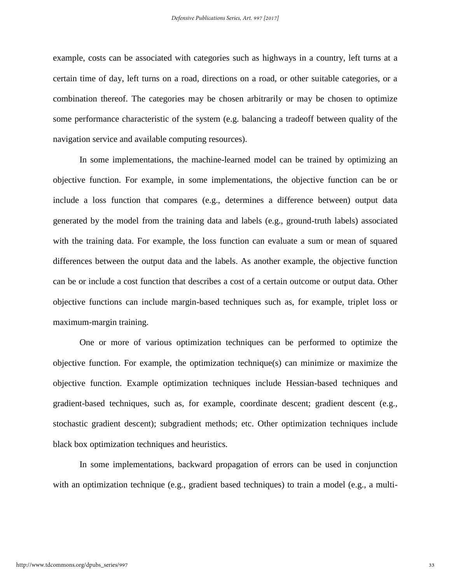example, costs can be associated with categories such as highways in a country, left turns at a certain time of day, left turns on a road, directions on a road, or other suitable categories, or a combination thereof. The categories may be chosen arbitrarily or may be chosen to optimize some performance characteristic of the system (e.g. balancing a tradeoff between quality of the navigation service and available computing resources).

In some implementations, the machine-learned model can be trained by optimizing an objective function. For example, in some implementations, the objective function can be or include a loss function that compares (e.g., determines a difference between) output data generated by the model from the training data and labels (e.g., ground-truth labels) associated with the training data. For example, the loss function can evaluate a sum or mean of squared differences between the output data and the labels. As another example, the objective function can be or include a cost function that describes a cost of a certain outcome or output data. Other objective functions can include margin-based techniques such as, for example, triplet loss or maximum-margin training.

One or more of various optimization techniques can be performed to optimize the objective function. For example, the optimization technique(s) can minimize or maximize the objective function. Example optimization techniques include Hessian-based techniques and gradient-based techniques, such as, for example, coordinate descent; gradient descent (e.g., stochastic gradient descent); subgradient methods; etc. Other optimization techniques include black box optimization techniques and heuristics.

In some implementations, backward propagation of errors can be used in conjunction with an optimization technique (e.g., gradient based techniques) to train a model (e.g., a multi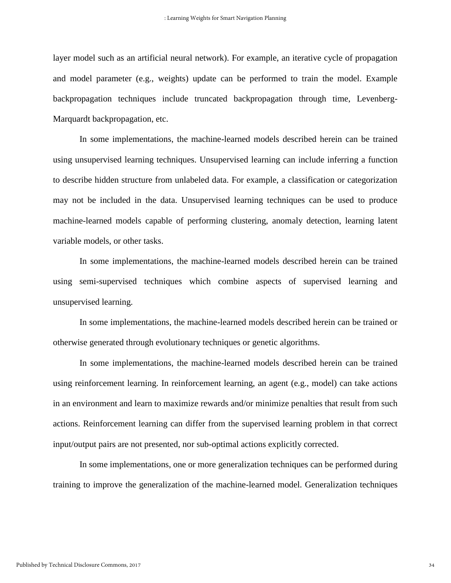layer model such as an artificial neural network). For example, an iterative cycle of propagation and model parameter (e.g., weights) update can be performed to train the model. Example backpropagation techniques include truncated backpropagation through time, Levenberg-Marquardt backpropagation, etc.

In some implementations, the machine-learned models described herein can be trained using unsupervised learning techniques. Unsupervised learning can include inferring a function to describe hidden structure from unlabeled data. For example, a classification or categorization may not be included in the data. Unsupervised learning techniques can be used to produce machine-learned models capable of performing clustering, anomaly detection, learning latent variable models, or other tasks.

In some implementations, the machine-learned models described herein can be trained using semi-supervised techniques which combine aspects of supervised learning and unsupervised learning.

In some implementations, the machine-learned models described herein can be trained or otherwise generated through evolutionary techniques or genetic algorithms.

In some implementations, the machine-learned models described herein can be trained using reinforcement learning. In reinforcement learning, an agent (e.g., model) can take actions in an environment and learn to maximize rewards and/or minimize penalties that result from such actions. Reinforcement learning can differ from the supervised learning problem in that correct input/output pairs are not presented, nor sub-optimal actions explicitly corrected.

In some implementations, one or more generalization techniques can be performed during training to improve the generalization of the machine-learned model. Generalization techniques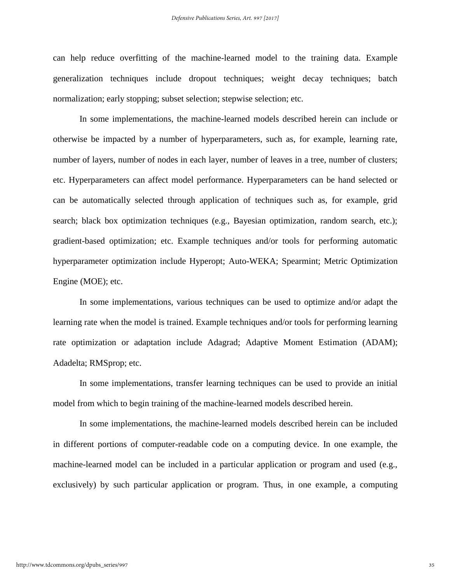can help reduce overfitting of the machine-learned model to the training data. Example generalization techniques include dropout techniques; weight decay techniques; batch normalization; early stopping; subset selection; stepwise selection; etc.

In some implementations, the machine-learned models described herein can include or otherwise be impacted by a number of hyperparameters, such as, for example, learning rate, number of layers, number of nodes in each layer, number of leaves in a tree, number of clusters; etc. Hyperparameters can affect model performance. Hyperparameters can be hand selected or can be automatically selected through application of techniques such as, for example, grid search; black box optimization techniques (e.g., Bayesian optimization, random search, etc.); gradient-based optimization; etc. Example techniques and/or tools for performing automatic hyperparameter optimization include Hyperopt; Auto-WEKA; Spearmint; Metric Optimization Engine (MOE); etc.

In some implementations, various techniques can be used to optimize and/or adapt the learning rate when the model is trained. Example techniques and/or tools for performing learning rate optimization or adaptation include Adagrad; Adaptive Moment Estimation (ADAM); Adadelta; RMSprop; etc.

In some implementations, transfer learning techniques can be used to provide an initial model from which to begin training of the machine-learned models described herein.

In some implementations, the machine-learned models described herein can be included in different portions of computer-readable code on a computing device. In one example, the machine-learned model can be included in a particular application or program and used (e.g., exclusively) by such particular application or program. Thus, in one example, a computing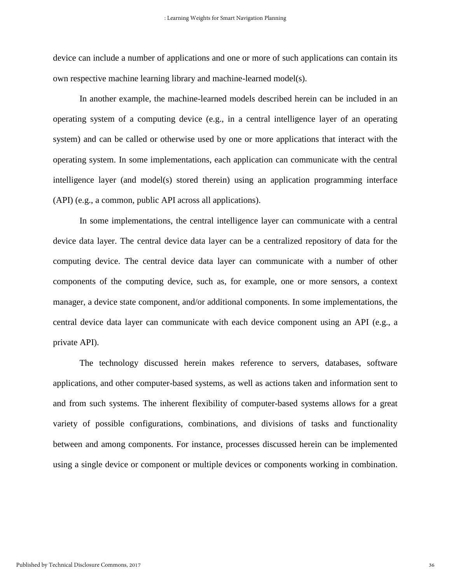device can include a number of applications and one or more of such applications can contain its own respective machine learning library and machine-learned model(s).

In another example, the machine-learned models described herein can be included in an operating system of a computing device (e.g., in a central intelligence layer of an operating system) and can be called or otherwise used by one or more applications that interact with the operating system. In some implementations, each application can communicate with the central intelligence layer (and model(s) stored therein) using an application programming interface (API) (e.g., a common, public API across all applications).

In some implementations, the central intelligence layer can communicate with a central device data layer. The central device data layer can be a centralized repository of data for the computing device. The central device data layer can communicate with a number of other components of the computing device, such as, for example, one or more sensors, a context manager, a device state component, and/or additional components. In some implementations, the central device data layer can communicate with each device component using an API (e.g., a private API).

The technology discussed herein makes reference to servers, databases, software applications, and other computer-based systems, as well as actions taken and information sent to and from such systems. The inherent flexibility of computer-based systems allows for a great variety of possible configurations, combinations, and divisions of tasks and functionality between and among components. For instance, processes discussed herein can be implemented using a single device or component or multiple devices or components working in combination.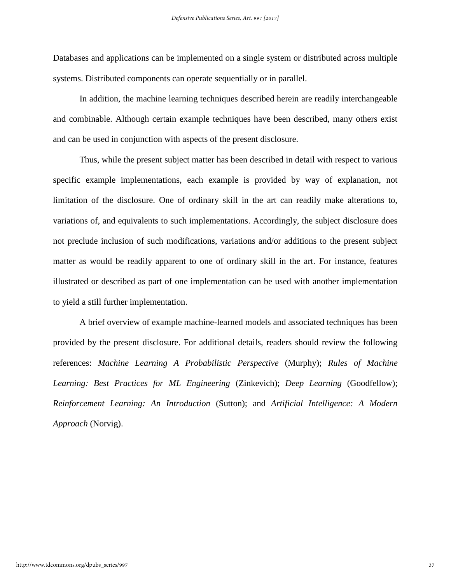Databases and applications can be implemented on a single system or distributed across multiple systems. Distributed components can operate sequentially or in parallel.

In addition, the machine learning techniques described herein are readily interchangeable and combinable. Although certain example techniques have been described, many others exist and can be used in conjunction with aspects of the present disclosure.

Thus, while the present subject matter has been described in detail with respect to various specific example implementations, each example is provided by way of explanation, not limitation of the disclosure. One of ordinary skill in the art can readily make alterations to, variations of, and equivalents to such implementations. Accordingly, the subject disclosure does not preclude inclusion of such modifications, variations and/or additions to the present subject matter as would be readily apparent to one of ordinary skill in the art. For instance, features illustrated or described as part of one implementation can be used with another implementation to yield a still further implementation.

A brief overview of example machine-learned models and associated techniques has been provided by the present disclosure. For additional details, readers should review the following references: *Machine Learning A Probabilistic Perspective* (Murphy); *Rules of Machine Learning: Best Practices for ML Engineering* (Zinkevich); *Deep Learning* (Goodfellow); *Reinforcement Learning: An Introduction* (Sutton); and *Artificial Intelligence: A Modern Approach* (Norvig).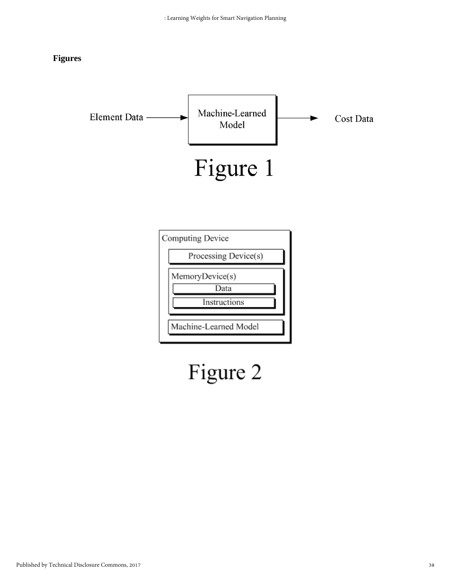#### **Figures**



# Figure 2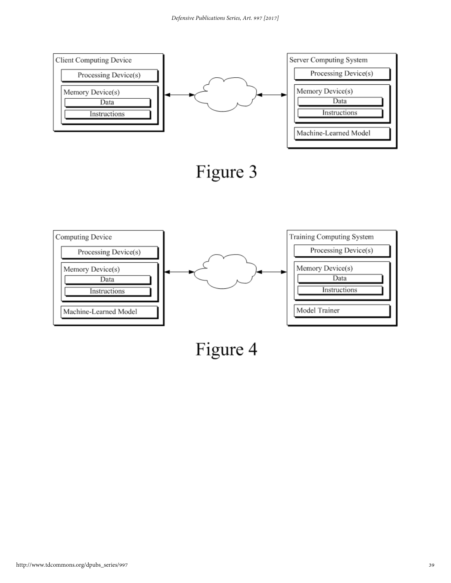